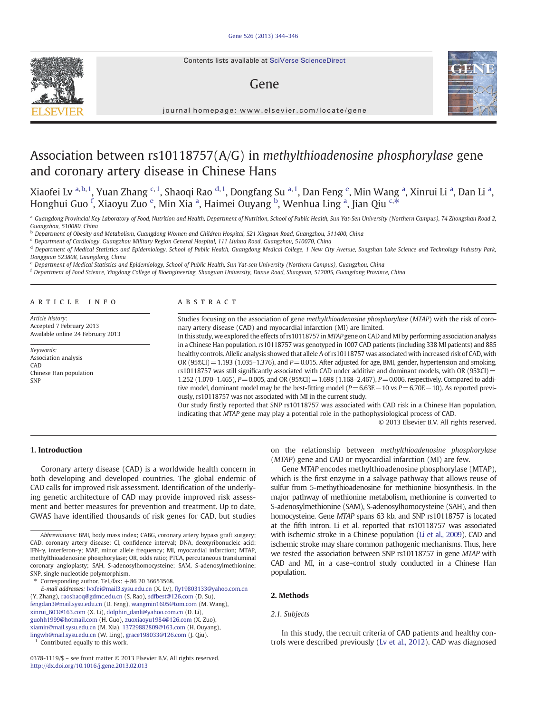Contents lists available at SciVerse ScienceDirect

# Gene



journal homepage: www.elsevier.com/locate/gene

# Association between rs10118757(A/G) in methylthioadenosine phosphorylase gene and coronary artery disease in Chinese Hans

Xiaofei Lv <sup>a,b,1</sup>, Yuan Zhang <sup>c,1</sup>, Shaoqi Rao <sup>d,1</sup>, Dongfang Su <sup>a,1</sup>, Dan Feng <sup>e</sup>, Min Wang <sup>a</sup>, Xinrui Li <sup>a</sup>, Dan Li <sup>a</sup>, Honghui Guo <sup>f</sup>, Xiaoyu Zuo <sup>e</sup>, Min Xia <sup>a</sup>, Haimei Ouyang <sup>b</sup>, Wenhua Ling <sup>a</sup>, Jian Qiu <sup>c,\*</sup>

a Guangdong Provincial Key Laboratory of Food, Nutrition and Health, Department of Nutrition, School of Public Health, Sun Yat-Sen University (Northern Campus), 74 Zhongshan Road 2, Guangzhou, 510080, China

<sup>b</sup> Department of Obesity and Metabolism, Guangdong Women and Children Hospital, 521 Xingnan Road, Guangzhou, 511400, China

<sup>c</sup> Department of Cardiology, Guangzhou Military Region General Hospital, 111 Liuhua Road, Guangzhou, 510070, China

<sup>d</sup> Department of Medical Statistics and Epidemiology, School of Public Health, Guangdong Medical College, 1 New City Avenue, Songshan Lake Science and Technology Industry Park, Dongguan 523808, Guangdong, China

<sup>e</sup> Department of Medical Statistics and Epidemiology, School of Public Health, Sun Yat-sen University (Northern Campus), Guangzhou, China

<sup>f</sup> Department of Food Science, Yingdong College of Bioengineering, Shaoguan University, Daxue Road, Shaoguan, 512005, Guangdong Province, China

#### article info abstract

Article history: Accepted 7 February 2013 Available online 24 February 2013

Keywords: Association analysis CAD Chinese Han population SNP

Studies focusing on the association of gene methylthioadenosine phosphorylase (MTAP) with the risk of coronary artery disease (CAD) and myocardial infarction (MI) are limited.

In this study, we explored the effects of rs10118757 in MTAP gene on CAD and MI by performing association analysis in a Chinese Han population. rs10118757 was genotyped in 1007 CAD patients (including 338 MI patients) and 885 healthy controls. Allelic analysis showed that allele A of rs10118757 was associated with increased risk of CAD, with OR (95%CI)=1.193 (1.035–1.376), and  $P=0.015$ . After adjusted for age, BMI, gender, hypertension and smoking, rs10118757 was still significantly associated with CAD under additive and dominant models, with OR (95%CI) = 1.252 (1.070–1.465),  $P = 0.005$ , and OR (95%CI) = 1.698 (1.168–2.467),  $P = 0.006$ , respectively. Compared to additive model, dominant model may be the best-fitting model (P=6.63E−10 vs P=6.70E−10). As reported previously, rs10118757 was not associated with MI in the current study.

Our study firstly reported that SNP rs10118757 was associated with CAD risk in a Chinese Han population, indicating that MTAP gene may play a potential role in the pathophysiological process of CAD.

© 2013 Elsevier B.V. All rights reserved.

# 1. Introduction

Coronary artery disease (CAD) is a worldwide health concern in both developing and developed countries. The global endemic of CAD calls for improved risk assessment. Identification of the underlying genetic architecture of CAD may provide improved risk assessment and better measures for prevention and treatment. Up to date, GWAS have identified thousands of risk genes for CAD, but studies

Corresponding author. Tel./fax:  $+86$  20 36653568.

E-mail addresses: [lvxfei@mail3.sysu.edu.cn](mailto:lvxfei@mail3.sysu.edu.cn) (X. Lv), fl[y19803133@yahoo.com.cn](mailto:fly19803133@yahoo.com.cn) (Y. Zhang), [raoshaoq@gdmc.edu.cn](mailto:raoshaoq@gdmc.edu.cn) (S. Rao), [sdfbest@126.com](mailto:sdfbest@126.com) (D. Su), [fengdan3@mail.sysu.edu.cn](mailto:fengdan3@mail.sysu.edu.cn) (D. Feng), [wangmin1605@tom.com](mailto:wangmin1605@tom.com) (M. Wang), [xinrui\\_603@163.com](mailto:xinrui_603@163.com) (X. Li), [dolphin\\_danli@yahoo.com.cn](mailto:dolphin_danli@yahoo.com.cn) (D. Li), [guohh1999@hotmail.com](mailto:guohh1999@hotmail.com) (H. Guo), [zuoxiaoyu1984@126.com](mailto:zuoxiaoyu1984@126.com) (X. Zuo), [xiamin@mail.sysu.edu.cn](mailto:xiamin@mail.sysu.edu.cn) (M. Xia), [13729882809@163.com](mailto:13729882809@163.com) (H. Ouyang), [lingwh@mail.sysu.edu.cn](mailto:lingwh@mail.sysu.edu.cn) (W. Ling), [grace198033@126.com](mailto:grace198033@126.com) (J. Qiu).

Contributed equally to this work.

on the relationship between methylthioadenosine phosphorylase (MTAP) gene and CAD or myocardial infarction (MI) are few.

Gene MTAP encodes methylthioadenosine phosphorylase (MTAP), which is the first enzyme in a salvage pathway that allows reuse of sulfur from 5-methythioadenosine for methionine biosynthesis. In the major pathway of methionine metabolism, methionine is converted to S-adenosylmethionine (SAM), S-adenosylhomocysteine (SAH), and then homocysteine. Gene MTAP spans 63 kb, and SNP rs10118757 is located at the fifth intron. Li et al. reported that rs10118757 was associated with ischemic stroke in a Chinese population [\(Li et al., 2009](#page-2-0)). CAD and ischemic stroke may share common pathogenic mechanisms. Thus, here we tested the association between SNP rs10118757 in gene MTAP with CAD and MI, in a case–control study conducted in a Chinese Han population.

#### 2. Methods

#### 2.1. Subjects

In this study, the recruit criteria of CAD patients and healthy controls were described previously ([Lv et al., 2012](#page-2-0)). CAD was diagnosed

Abbreviations: BMI, body mass index; CABG, coronary artery bypass graft surgery; CAD, coronary artery disease; CI, confidence interval; DNA, deoxyribonucleic acid; IFN-γ, interferon-γ; MAF, minor allele frequency; MI, myocardial infarction; MTAP, methylthioadenosine phosphorylase; OR, odds ratio; PTCA, percutaneous transluminal coronary angioplasty; SAH, S-adenosylhomocysteine; SAM, S-adenosylmethionine; SNP, single nucleotide polymorphism.

<sup>0378-1119/\$</sup> – see front matter © 2013 Elsevier B.V. All rights reserved. <http://dx.doi.org/10.1016/j.gene.2013.02.013>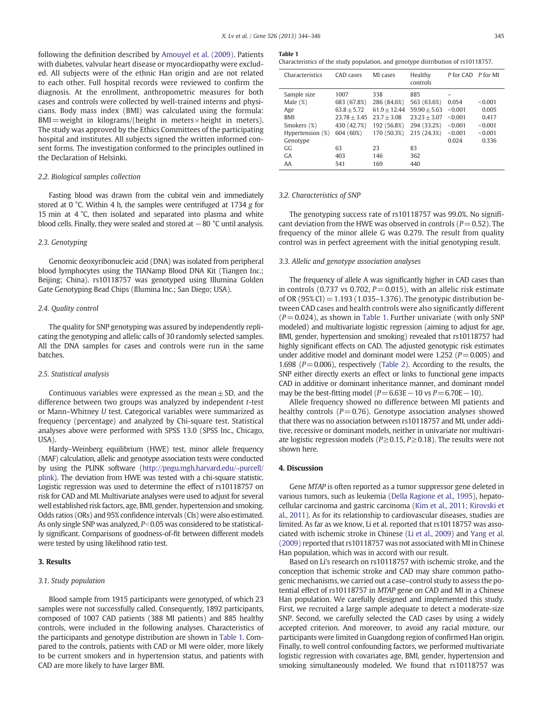following the definition described by [Amouyel et al. \(2009\)](#page-2-0). Patients with diabetes, valvular heart disease or myocardiopathy were excluded. All subjects were of the ethnic Han origin and are not related to each other. Full hospital records were reviewed to confirm the diagnosis. At the enrollment, anthropometric measures for both cases and controls were collected by well-trained interns and physicians. Body mass index (BMI) was calculated using the formula:  $BMI = weight$  in kilograms/(height in meters  $\times$  height in meters). The study was approved by the Ethics Committees of the participating hospital and institutes. All subjects signed the written informed consent forms. The investigation conformed to the principles outlined in the Declaration of Helsinki.

### 2.2. Biological samples collection

Fasting blood was drawn from the cubital vein and immediately stored at 0 °C. Within 4 h, the samples were centrifuged at 1734 g for 15 min at 4 °C, then isolated and separated into plasma and white blood cells. Finally, they were sealed and stored at  $-80$  °C until analysis.

### 2.3. Genotyping

Genomic deoxyribonucleic acid (DNA) was isolated from peripheral blood lymphocytes using the TIANamp Blood DNA Kit (Tiangen Inc.; Beijing; China). rs10118757 was genotyped using Illumina Golden Gate Genotyping Bead Chips (Illumina Inc.; San Diego; USA).

#### 2.4. Quality control

The quality for SNP genotyping was assured by independently replicating the genotyping and allelic calls of 30 randomly selected samples. All the DNA samples for cases and controls were run in the same batches.

#### 2.5. Statistical analysis

Continuous variables were expressed as the mean $\pm$  SD, and the difference between two groups was analyzed by independent t-test or Mann–Whitney U test. Categorical variables were summarized as frequency (percentage) and analyzed by Chi-square test. Statistical analyses above were performed with SPSS 13.0 (SPSS Inc., Chicago, USA).

Hardy–Weinberg equilibrium (HWE) test, minor allele frequency (MAF) calculation, allelic and genotype association tests were conducted by using the PLINK software ([http://pngu.mgh.harvard.edu/~purcell/](http://pngu.mgh.harvard.edu/~purcell/plink) [plink](http://pngu.mgh.harvard.edu/~purcell/plink)). The deviation from HWE was tested with a chi-square statistic. Logistic regression was used to determine the effect of rs10118757 on risk for CAD and MI. Multivariate analyses were used to adjust for several well established risk factors, age, BMI, gender, hypertension and smoking. Odds ratios (ORs) and 95% confidence intervals (CIs) were also estimated. As only single SNP was analyzed,  $P<0.05$  was considered to be statistically significant. Comparisons of goodness-of-fit between different models were tested by using likelihood ratio test.

#### 3. Results

#### 3.1. Study population

Blood sample from 1915 participants were genotyped, of which 23 samples were not successfully called. Consequently, 1892 participants, composed of 1007 CAD patients (388 MI patients) and 885 healthy controls, were included in the following analyses. Characteristics of the participants and genotype distribution are shown in Table 1. Compared to the controls, patients with CAD or MI were older, more likely to be current smokers and in hypertension status, and patients with CAD are more likely to have larger BMI.

Characteristics of the study population, and genotype distribution of rs10118757.

| Characteristics  | CAD cases      | MI cases       | Healthy<br>controls | P for CAD P for MI |         |
|------------------|----------------|----------------|---------------------|--------------------|---------|
| Sample size      | 1007           | 338            | 885                 |                    |         |
| Male $(\%)$      | 683 (67.8%)    | 286 (84.6%)    | 563 (63.6%)         | 0.054              | < 0.001 |
| Age              | $63.8 + 5.72$  | $61.9 + 12.44$ | $59.90 + 5.63$      | < 0.001            | 0.005   |
| <b>BMI</b>       | $23.78 + 3.45$ | $23.7 + 3.08$  | $23.23 + 3.07$      | < 0.001            | 0.417   |
| Smokers (%)      | 430 (42.7%)    | 192 (56.8%)    | 294 (33.2%)         | < 0.001            | < 0.001 |
| Hypertension (%) | 604 (60%)      | 170 (50.3%)    | 215 (24.3%)         | < 0.001            | < 0.001 |
| Genotype         |                |                |                     | 0.024              | 0.336   |
| GG.              | 63             | 23             | 83                  |                    |         |
| <b>GA</b>        | 403            | 146            | 362                 |                    |         |
| AA               | 541            | 169            | 440                 |                    |         |

#### 3.2. Characteristics of SNP

The genotyping success rate of rs10118757 was 99.0%. No significant deviation from the HWE was observed in controls ( $P = 0.52$ ). The frequency of the minor allele G was 0.279. The result from quality control was in perfect agreement with the initial genotyping result.

#### 3.3. Allelic and genotype association analyses

The frequency of allele A was significantly higher in CAD cases than in controls (0.737 vs 0.702,  $P = 0.015$ ), with an allelic risk estimate of OR (95% CI) = 1.193 (1.035-1.376). The genotypic distribution between CAD cases and health controls were also significantly different  $(P= 0.024)$ , as shown in Table 1. Further univariate (with only SNP modeled) and multivariate logistic regression (aiming to adjust for age, BMI, gender, hypertension and smoking) revealed that rs10118757 had highly significant effects on CAD. The adjusted genotypic risk estimates under additive model and dominant model were 1.252 ( $P=0.005$ ) and 1.698 ( $P=0.006$ ), respectively [\(Table 2](#page-2-0)). According to the results, the SNP either directly exerts an effect or links to functional gene impacts CAD in additive or dominant inheritance manner, and dominant model may be the best-fitting model ( $P=6.63E-10$  vs  $P=6.70E-10$ ).

Allele frequency showed no difference between MI patients and healthy controls ( $P = 0.76$ ). Genotype association analyses showed that there was no association between rs10118757 and MI, under additive, recessive or dominant models, neither in univariate nor multivariate logistic regression models ( $P \ge 0.15$ ,  $P \ge 0.18$ ). The results were not shown here.

#### 4. Discussion

Gene MTAP is often reported as a tumor suppressor gene deleted in various tumors, such as leukemia ([Della Ragione et al., 1995](#page-2-0)), hepatocellular carcinoma and gastric carcinoma [\(Kim et al., 2011; Kirovski et](#page-2-0) [al., 2011](#page-2-0)). As for its relationship to cardiovascular diseases, studies are limited. As far as we know, Li et al. reported that rs10118757 was associated with ischemic stroke in Chinese ([Li et al., 2009](#page-2-0)) and [Yang et al.](#page-2-0) [\(2009\)](#page-2-0) reported that rs10118757 was not associated with MI in Chinese Han population, which was in accord with our result.

Based on Li's research on rs10118757 with ischemic stroke, and the conception that ischemic stroke and CAD may share common pathogenic mechanisms, we carried out a case–control study to assess the potential effect of rs10118757 in MTAP gene on CAD and MI in a Chinese Han population. We carefully designed and implemented this study. First, we recruited a large sample adequate to detect a moderate-size SNP. Second, we carefully selected the CAD cases by using a widely accepted criterion. And moreover, to avoid any racial mixture, our participants were limited in Guangdong region of confirmed Han origin. Finally, to well control confounding factors, we performed multivariate logistic regression with covariates age, BMI, gender, hypertension and smoking simultaneously modeled. We found that rs10118757 was